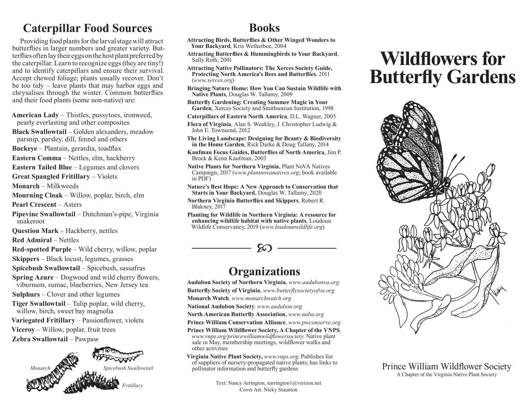## **Caterpillar Food Sources Books**

Providing food plants for the larval stage will attract butterflies in larger numbers and greater variety. Butterflies often lay their eggs on the host plant preferred by the caterpillar. Learn to recognize eggs (they are tiny!) and to identify caterpillars and ensure their survival. Accept chewed foliage; plants usually recover. Don't be too tidy – leave plants that may harbor eggs and chrysalises through the winter. Common butterflies and their food plants (some non-native) are:

**American Lady** – Thistles, pussytoes, ironweed, pearly everlasting and other composites

**Black Swallowtail** – Golden alexanders, meadow parsnip, parsley, dill, fennel and others

**Buckeye** – Plantain, gerardia, toadflax

**Eastern Comma** – Nettles, elm, hackberry

**Eastern Tailed Blue** – Legumes and clovers

**Great Spangled Fritillary** – Violets

**Monarch** – Milkweeds

**Mourning Cloak** – Willow, poplar, birch, elm

**Pearl Crescent – Asters** 

**Pipevine Swallowtail** – Dutchman's-pipe, Virginia snakeroot

**Question Mark** – Hackberry, nettles

**Red Admiral** – Nettles

- **Red-spotted Purple**  Wild cherry, willow, poplar
- **Skippers** Black locust, legumes, grasses
- **Spicebush Swallowtail** Spicebush, sassafras
- **Spring Azure**  Dogwood and wild cherry flowers, viburnum, sumac, blueberries, New Jersey tea

**Sulphurs** – Clover and other legumes

**Tiger Swallowtail** – Tulip poplar, wild cherry, willow, birch, sweet bay magnolia

**Variegated Fritillary** – Passionflower, violets

**Viceroy** – Willow, poplar, fruit trees

**Zebra Swallowtail** – Pawpaw



**Attracting Birds, Butterflies & Other Winged Wonders to Your Backyard**, Kris Wetherbee, 2004

**Attracting Butterflies & Hummingbirds to Your Backyard**, Sally Roth, 2001

**Attracting Native Pollinators: The Xerces Society Guide, Protecting North America's Bees and Butterflies**, 2011 (*www.xerces.org*)

**Bringing Nature Home: How You Can Sustain Wildlife with Native Plants**, Douglas W. Tallamy, 2009

**Butterfly Gardening: Creating Summer Magic in Your Garden**, Xerces Society and Smithsonian Institution, 1998

**Caterpillars of Eastern North America**, D.L. Wagner, 2005

**Flora of Virginia**, Alan S. Weakley, J. Christopher Ludwig & John E. Townsend, 2012

**The Living Landscape: Designing for Beauty & Biodiversity in the Home Garden**, Rick Darke & Doug Tallany, 2014

**Kaufman Focus Guides, Butterflies of North America**, Jim P. Brock & Kenn Kaufman, 2003

**Native Plants for Northern Virginia**, Plant NoVA Natives Campaign, 2017 (*www.plantnovanatives.org*; book available  $in$  PDF) $\bar{ }$ 

**Nature's Best Hope: A New Approach to Conservation that Starts in Your Backyard**, Douglas W. Tallamy, 2020

**Northern Virginia Butterflies and Skippers**, Robert R. Blakney, 2017

**Planting for Wildlife in Northern Virginia: A resource for enhancing wildlife habitat with native plants**, Loudoun Wildlife Conservancy, 2019 (*www.loudounwildlife.org*)



## **Organizations**

**Audubon Society of Northern Virginia**, *www.audubonva.org* **Butterfly Society of Virginia**, *www.butterflysocietyofva.org*  **Monarch Watch***, www.monarchwatch.org*

**National Audubon Society***, www.audubon.org*

**North American Butterfly Association**, *www.naba.org*

**Prince William Conservation Alliance**, *www.pwconserve.org*

**Prince William Wildflower Society, A Chapter of the VNPS***, www.vnps.org/princewilliamwildflowersociety*. Native plant sale in May, membership meetings, wildflower walks and other activities

**Virginia Native Plant Society,** *www.vnps.org*. Publishes list of suppliers of nursery-propagated native plants; has links to pollinator information and butterfly gardens

> Text: Nancy Arrington, narrington1@verizon.net Cover Art: Nicky Staunton

# **Wildflowers for Butterfly Gardens**



Prince William Wildflower Society A Chapter of the Virginia Native Plant Society